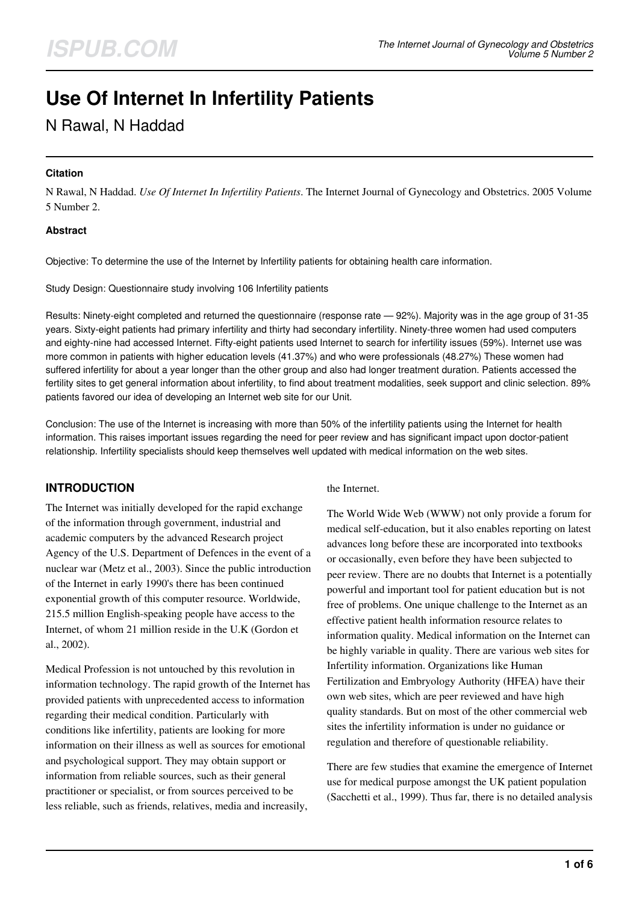# **Use Of Internet In Infertility Patients**

# N Rawal, N Haddad

#### **Citation**

N Rawal, N Haddad. *Use Of Internet In Infertility Patients*. The Internet Journal of Gynecology and Obstetrics. 2005 Volume 5 Number 2.

#### **Abstract**

Objective: To determine the use of the Internet by Infertility patients for obtaining health care information.

Study Design: Questionnaire study involving 106 Infertility patients

Results: Ninety-eight completed and returned the questionnaire (response rate — 92%). Majority was in the age group of 31-35 years. Sixty-eight patients had primary infertility and thirty had secondary infertility. Ninety-three women had used computers and eighty-nine had accessed Internet. Fifty-eight patients used Internet to search for infertility issues (59%). Internet use was more common in patients with higher education levels (41.37%) and who were professionals (48.27%) These women had suffered infertility for about a year longer than the other group and also had longer treatment duration. Patients accessed the fertility sites to get general information about infertility, to find about treatment modalities, seek support and clinic selection. 89% patients favored our idea of developing an Internet web site for our Unit.

Conclusion: The use of the Internet is increasing with more than 50% of the infertility patients using the Internet for health information. This raises important issues regarding the need for peer review and has significant impact upon doctor-patient relationship. Infertility specialists should keep themselves well updated with medical information on the web sites.

# **INTRODUCTION**

The Internet was initially developed for the rapid exchange of the information through government, industrial and academic computers by the advanced Research project Agency of the U.S. Department of Defences in the event of a nuclear war (Metz et al., 2003). Since the public introduction of the Internet in early 1990's there has been continued exponential growth of this computer resource. Worldwide, 215.5 million English-speaking people have access to the Internet, of whom 21 million reside in the U.K (Gordon et al., 2002).

Medical Profession is not untouched by this revolution in information technology. The rapid growth of the Internet has provided patients with unprecedented access to information regarding their medical condition. Particularly with conditions like infertility, patients are looking for more information on their illness as well as sources for emotional and psychological support. They may obtain support or information from reliable sources, such as their general practitioner or specialist, or from sources perceived to be less reliable, such as friends, relatives, media and increasily,

the Internet.

The World Wide Web (WWW) not only provide a forum for medical self-education, but it also enables reporting on latest advances long before these are incorporated into textbooks or occasionally, even before they have been subjected to peer review. There are no doubts that Internet is a potentially powerful and important tool for patient education but is not free of problems. One unique challenge to the Internet as an effective patient health information resource relates to information quality. Medical information on the Internet can be highly variable in quality. There are various web sites for Infertility information. Organizations like Human Fertilization and Embryology Authority (HFEA) have their own web sites, which are peer reviewed and have high quality standards. But on most of the other commercial web sites the infertility information is under no guidance or regulation and therefore of questionable reliability.

There are few studies that examine the emergence of Internet use for medical purpose amongst the UK patient population (Sacchetti et al., 1999). Thus far, there is no detailed analysis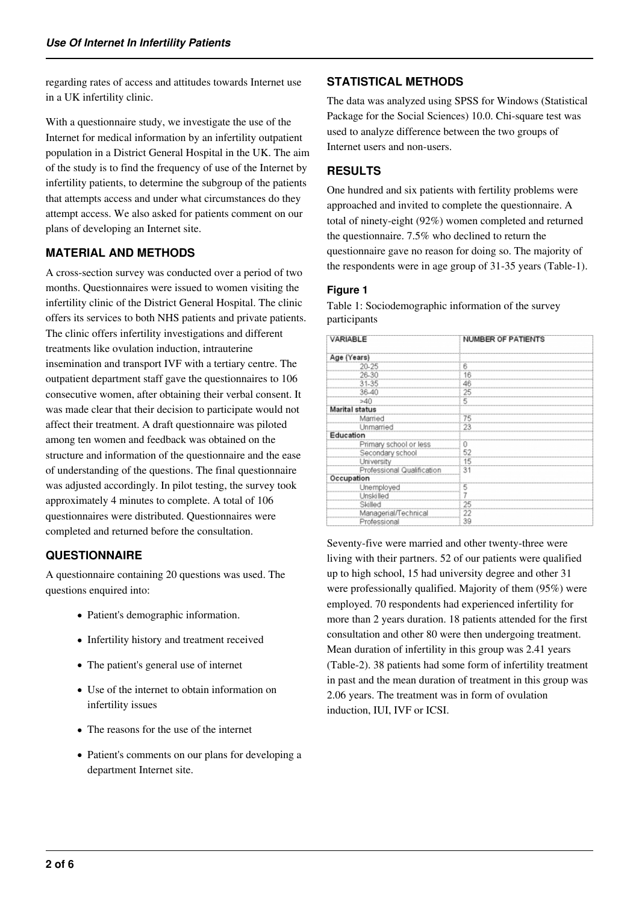regarding rates of access and attitudes towards Internet use in a UK infertility clinic.

With a questionnaire study, we investigate the use of the Internet for medical information by an infertility outpatient population in a District General Hospital in the UK. The aim of the study is to find the frequency of use of the Internet by infertility patients, to determine the subgroup of the patients that attempts access and under what circumstances do they attempt access. We also asked for patients comment on our plans of developing an Internet site.

# **MATERIAL AND METHODS**

A cross-section survey was conducted over a period of two months. Questionnaires were issued to women visiting the infertility clinic of the District General Hospital. The clinic offers its services to both NHS patients and private patients. The clinic offers infertility investigations and different treatments like ovulation induction, intrauterine insemination and transport IVF with a tertiary centre. The outpatient department staff gave the questionnaires to 106 consecutive women, after obtaining their verbal consent. It was made clear that their decision to participate would not affect their treatment. A draft questionnaire was piloted among ten women and feedback was obtained on the structure and information of the questionnaire and the ease of understanding of the questions. The final questionnaire was adjusted accordingly. In pilot testing, the survey took approximately 4 minutes to complete. A total of 106 questionnaires were distributed. Questionnaires were completed and returned before the consultation.

# **QUESTIONNAIRE**

A questionnaire containing 20 questions was used. The questions enquired into:

- Patient's demographic information.
- Infertility history and treatment received
- The patient's general use of internet
- Use of the internet to obtain information on infertility issues
- The reasons for the use of the internet
- Patient's comments on our plans for developing a department Internet site.

# **STATISTICAL METHODS**

The data was analyzed using SPSS for Windows (Statistical Package for the Social Sciences) 10.0. Chi-square test was used to analyze difference between the two groups of Internet users and non-users.

# **RESULTS**

One hundred and six patients with fertility problems were approached and invited to complete the questionnaire. A total of ninety-eight (92%) women completed and returned the questionnaire. 7.5% who declined to return the questionnaire gave no reason for doing so. The majority of the respondents were in age group of 31-35 years (Table-1).

#### **Figure 1**

Table 1: Sociodemographic information of the survey participants

| VARIABLE                   | <b>NUMBER OF PATIENTS</b> |  |
|----------------------------|---------------------------|--|
| Age (Years)                |                           |  |
| 20-25                      | 6                         |  |
| 26-30                      | 16                        |  |
| 31-35                      | 46                        |  |
| 36-40                      | 25                        |  |
| >40                        | 5                         |  |
| <b>Marital status</b>      |                           |  |
| Married                    | 75                        |  |
| Unmarried                  | 23                        |  |
| Education                  |                           |  |
| Primary school or less     | 0                         |  |
| Secondary school           | 52                        |  |
| University                 | 15                        |  |
| Professional Qualification | 31                        |  |
| Occupation                 |                           |  |
| Unemployed                 | 5                         |  |
| Unskilled                  | 7                         |  |
| Skilled                    | 25                        |  |
| Managerial/Technical       | 22                        |  |
| Professional               | 39                        |  |

Seventy-five were married and other twenty-three were living with their partners. 52 of our patients were qualified up to high school, 15 had university degree and other 31 were professionally qualified. Majority of them (95%) were employed. 70 respondents had experienced infertility for more than 2 years duration. 18 patients attended for the first consultation and other 80 were then undergoing treatment. Mean duration of infertility in this group was 2.41 years (Table-2). 38 patients had some form of infertility treatment in past and the mean duration of treatment in this group was 2.06 years. The treatment was in form of ovulation induction, IUI, IVF or ICSI.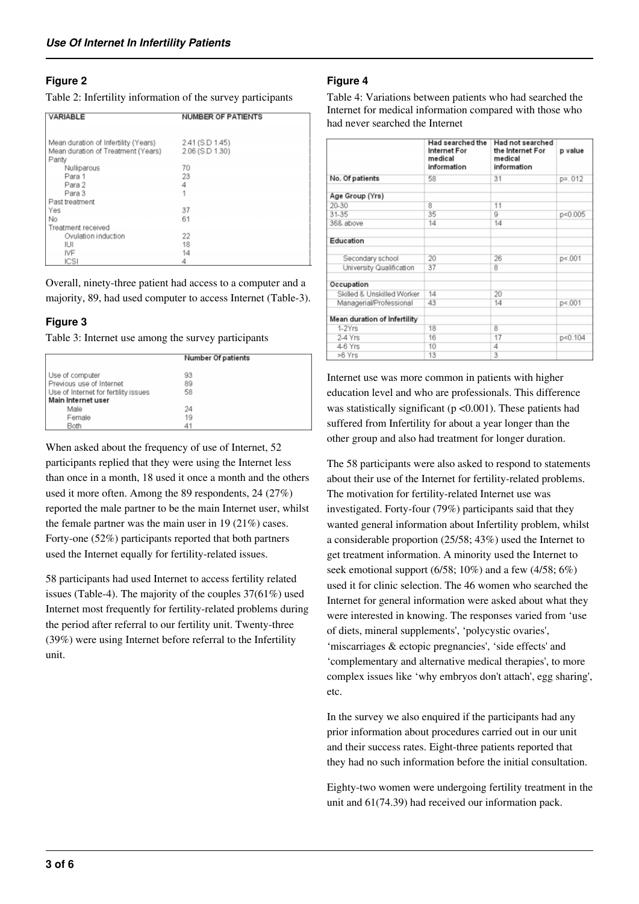# **Figure 2**

Table 2: Infertility information of the survey participants

| VARIABLE                                     | <b>NUMBER OF PATIENTS</b> |  |
|----------------------------------------------|---------------------------|--|
| Mean duration of Infertility (Years)         | 2.41 (S.D 1.45)           |  |
| Mean duration of Treatment (Years)<br>Parity | 2.06 (S.D 1.30)           |  |
| Nulliparous                                  | 70                        |  |
| Para 1                                       | 23                        |  |
| Para 2                                       | 4                         |  |
| Para 3                                       | 1                         |  |
| Past treatment                               |                           |  |
| Yes                                          | 37                        |  |
| No                                           | 61                        |  |
| Treatment received                           |                           |  |
| Ovulation induction                          | 22                        |  |
| IUI                                          | 18                        |  |
| IVF                                          | 14                        |  |
| ICSI                                         | 4                         |  |

Overall, ninety-three patient had access to a computer and a majority, 89, had used computer to access Internet (Table-3).

# **Figure 3**

Table 3: Internet use among the survey participants

|                                      | Number Of patients |  |
|--------------------------------------|--------------------|--|
| Use of computer                      | 93                 |  |
| Previous use of Internet             | 89                 |  |
| Use of Internet for fertility issues | 58                 |  |
| Main Internet user                   |                    |  |
| Male                                 | 24                 |  |
| Female                               | 19                 |  |
| Both                                 | 4 <sup>1</sup>     |  |

When asked about the frequency of use of Internet, 52 participants replied that they were using the Internet less than once in a month, 18 used it once a month and the others used it more often. Among the 89 respondents, 24 (27%) reported the male partner to be the main Internet user, whilst the female partner was the main user in 19 (21%) cases. Forty-one (52%) participants reported that both partners used the Internet equally for fertility-related issues.

58 participants had used Internet to access fertility related issues (Table-4). The majority of the couples 37(61%) used Internet most frequently for fertility-related problems during the period after referral to our fertility unit. Twenty-three (39%) were using Internet before referral to the Infertility unit.

# **Figure 4**

Table 4: Variations between patients who had searched the Internet for medical information compared with those who had never searched the Internet

|                              | Had searched the<br>Internet For<br>medical<br>information | Had not searched<br>the Internet For<br>medical<br>information | p value     |
|------------------------------|------------------------------------------------------------|----------------------------------------------------------------|-------------|
| No. Of patients              | 58                                                         | 31                                                             | $p = 0.012$ |
| Age Group (Yrs)              |                                                            |                                                                |             |
| 20-30                        | 8                                                          | 11                                                             |             |
| 31-35                        | 35                                                         | g                                                              | p < 0.005   |
| 36& above                    | 14                                                         | 14                                                             |             |
| Education                    |                                                            |                                                                |             |
| Secondary school             | 20                                                         | 26                                                             | p < 001     |
| University Qualification     | 37                                                         | 8                                                              |             |
| Occupation                   |                                                            |                                                                |             |
| Skilled & Unskilled Worker   | 14                                                         | 20                                                             |             |
| Managerial/Professional      | 43                                                         | 14                                                             | p < 001     |
| Mean duration of Infertility |                                                            |                                                                |             |
| 1-2Yrs                       | 18                                                         | $\overline{8}$                                                 |             |
| 2-4 Yrs                      | 16                                                         | 17                                                             | p<0.104     |
| 4-6 Yrs                      | 10                                                         | 4                                                              |             |
| >6 Yrs                       | 13                                                         | 3                                                              |             |

Internet use was more common in patients with higher education level and who are professionals. This difference was statistically significant ( $p < 0.001$ ). These patients had suffered from Infertility for about a year longer than the other group and also had treatment for longer duration.

The 58 participants were also asked to respond to statements about their use of the Internet for fertility-related problems. The motivation for fertility-related Internet use was investigated. Forty-four (79%) participants said that they wanted general information about Infertility problem, whilst a considerable proportion (25/58; 43%) used the Internet to get treatment information. A minority used the Internet to seek emotional support  $(6/58; 10\%)$  and a few  $(4/58; 6\%)$ used it for clinic selection. The 46 women who searched the Internet for general information were asked about what they were interested in knowing. The responses varied from 'use of diets, mineral supplements', 'polycystic ovaries', 'miscarriages & ectopic pregnancies', 'side effects' and 'complementary and alternative medical therapies', to more complex issues like 'why embryos don't attach', egg sharing', etc.

In the survey we also enquired if the participants had any prior information about procedures carried out in our unit and their success rates. Eight-three patients reported that they had no such information before the initial consultation.

Eighty-two women were undergoing fertility treatment in the unit and 61(74.39) had received our information pack.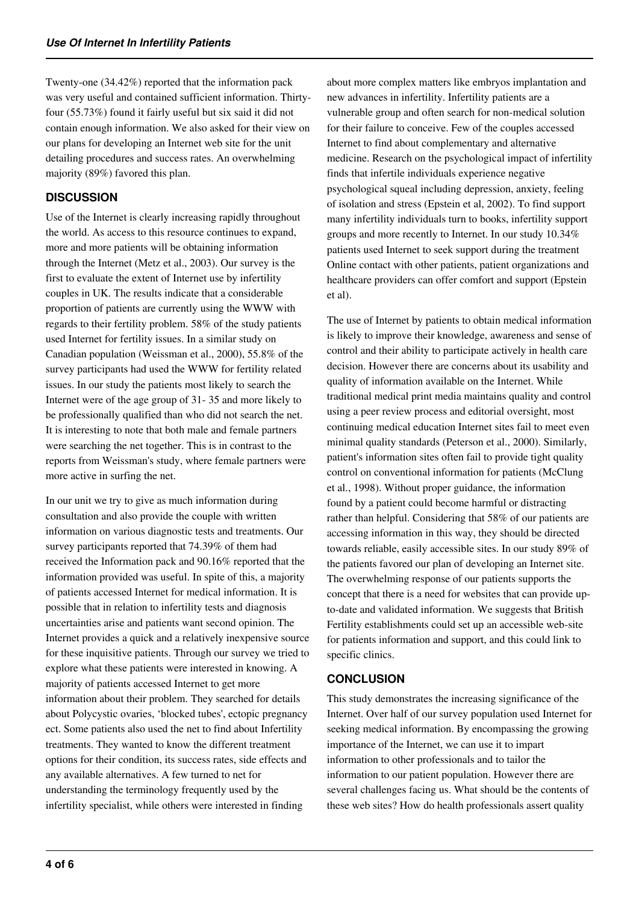Twenty-one (34.42%) reported that the information pack was very useful and contained sufficient information. Thirtyfour (55.73%) found it fairly useful but six said it did not contain enough information. We also asked for their view on our plans for developing an Internet web site for the unit detailing procedures and success rates. An overwhelming majority (89%) favored this plan.

#### **DISCUSSION**

Use of the Internet is clearly increasing rapidly throughout the world. As access to this resource continues to expand, more and more patients will be obtaining information through the Internet (Metz et al., 2003). Our survey is the first to evaluate the extent of Internet use by infertility couples in UK. The results indicate that a considerable proportion of patients are currently using the WWW with regards to their fertility problem. 58% of the study patients used Internet for fertility issues. In a similar study on Canadian population (Weissman et al., 2000), 55.8% of the survey participants had used the WWW for fertility related issues. In our study the patients most likely to search the Internet were of the age group of 31- 35 and more likely to be professionally qualified than who did not search the net. It is interesting to note that both male and female partners were searching the net together. This is in contrast to the reports from Weissman's study, where female partners were more active in surfing the net.

In our unit we try to give as much information during consultation and also provide the couple with written information on various diagnostic tests and treatments. Our survey participants reported that 74.39% of them had received the Information pack and 90.16% reported that the information provided was useful. In spite of this, a majority of patients accessed Internet for medical information. It is possible that in relation to infertility tests and diagnosis uncertainties arise and patients want second opinion. The Internet provides a quick and a relatively inexpensive source for these inquisitive patients. Through our survey we tried to explore what these patients were interested in knowing. A majority of patients accessed Internet to get more information about their problem. They searched for details about Polycystic ovaries, 'blocked tubes', ectopic pregnancy ect. Some patients also used the net to find about Infertility treatments. They wanted to know the different treatment options for their condition, its success rates, side effects and any available alternatives. A few turned to net for understanding the terminology frequently used by the infertility specialist, while others were interested in finding

about more complex matters like embryos implantation and new advances in infertility. Infertility patients are a vulnerable group and often search for non-medical solution for their failure to conceive. Few of the couples accessed Internet to find about complementary and alternative medicine. Research on the psychological impact of infertility finds that infertile individuals experience negative psychological squeal including depression, anxiety, feeling of isolation and stress (Epstein et al, 2002). To find support many infertility individuals turn to books, infertility support groups and more recently to Internet. In our study 10.34% patients used Internet to seek support during the treatment Online contact with other patients, patient organizations and healthcare providers can offer comfort and support (Epstein et al).

The use of Internet by patients to obtain medical information is likely to improve their knowledge, awareness and sense of control and their ability to participate actively in health care decision. However there are concerns about its usability and quality of information available on the Internet. While traditional medical print media maintains quality and control using a peer review process and editorial oversight, most continuing medical education Internet sites fail to meet even minimal quality standards (Peterson et al., 2000). Similarly, patient's information sites often fail to provide tight quality control on conventional information for patients (McClung et al., 1998). Without proper guidance, the information found by a patient could become harmful or distracting rather than helpful. Considering that 58% of our patients are accessing information in this way, they should be directed towards reliable, easily accessible sites. In our study 89% of the patients favored our plan of developing an Internet site. The overwhelming response of our patients supports the concept that there is a need for websites that can provide upto-date and validated information. We suggests that British Fertility establishments could set up an accessible web-site for patients information and support, and this could link to specific clinics.

#### **CONCLUSION**

This study demonstrates the increasing significance of the Internet. Over half of our survey population used Internet for seeking medical information. By encompassing the growing importance of the Internet, we can use it to impart information to other professionals and to tailor the information to our patient population. However there are several challenges facing us. What should be the contents of these web sites? How do health professionals assert quality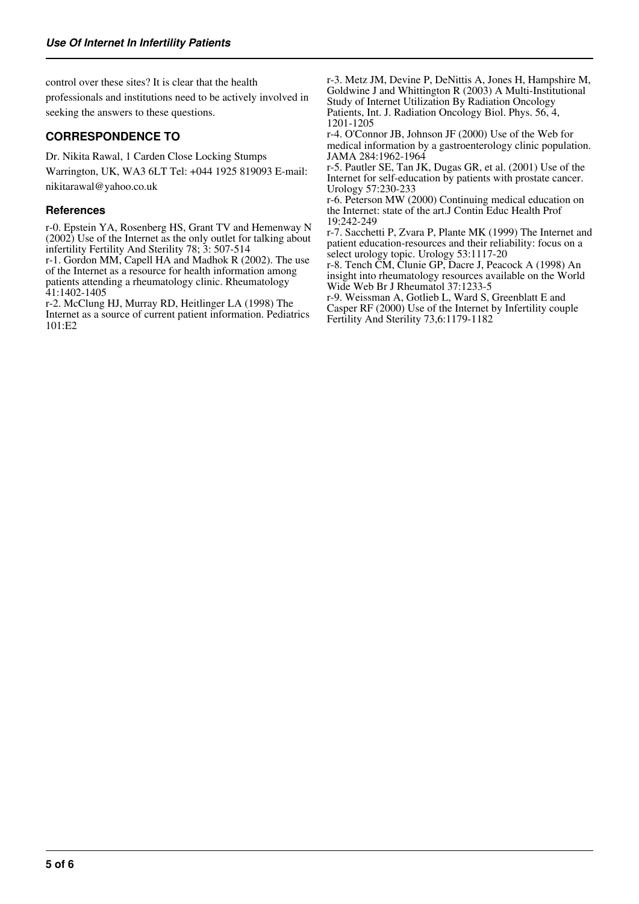control over these sites? It is clear that the health professionals and institutions need to be actively involved in seeking the answers to these questions.

#### **CORRESPONDENCE TO**

Dr. Nikita Rawal, 1 Carden Close Locking Stumps

Warrington, UK, WA3 6LT Tel: +044 1925 819093 E-mail: nikitarawal@yahoo.co.uk

#### **References**

r-0. Epstein YA, Rosenberg HS, Grant TV and Hemenway N (2002) Use of the Internet as the only outlet for talking about infertility Fertility And Sterility 78; 3: 507-514

r-1. Gordon MM, Capell HA and Madhok R (2002). The use of the Internet as a resource for health information among patients attending a rheumatology clinic. Rheumatology 41:1402-1405

r-2. McClung HJ, Murray RD, Heitlinger LA (1998) The Internet as a source of current patient information. Pediatrics 101:E2

r-3. Metz JM, Devine P, DeNittis A, Jones H, Hampshire M, Goldwine J and Whittington R (2003) A Multi-Institutional Study of Internet Utilization By Radiation Oncology Patients, Int. J. Radiation Oncology Biol. Phys. 56, 4, 1201-1205

r-4. O'Connor JB, Johnson JF (2000) Use of the Web for medical information by a gastroenterology clinic population. JAMA 284:1962-1964

r-5. Pautler SE, Tan JK, Dugas GR, et al. (2001) Use of the Internet for self-education by patients with prostate cancer. Urology 57:230-233

r-6. Peterson MW (2000) Continuing medical education on the Internet: state of the art.J Contin Educ Health Prof 19:242-249

r-7. Sacchetti P, Zvara P, Plante MK (1999) The Internet and patient education-resources and their reliability: focus on a select urology topic. Urology 53:1117-20

r-8. Tench CM, Clunie GP, Dacre J, Peacock A (1998) An insight into rheumatology resources available on the World Wide Web Br J Rheumatol 37:1233-5

r-9. Weissman A, Gotlieb L, Ward S, Greenblatt E and Casper RF (2000) Use of the Internet by Infertility couple Fertility And Sterility 73,6:1179-1182